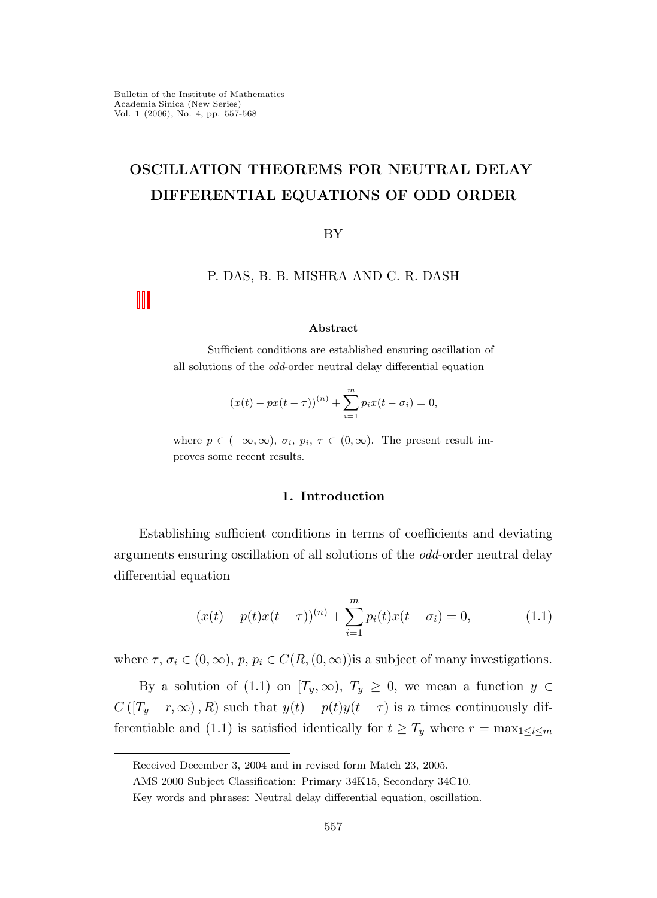# OSCILLATION THEOREMS FOR NEUTRAL DELAY DIFFERENTIAL EQUATIONS OF ODD ORDER

BY

# P. DAS, B. B. MISHRA AND C. R. DASH

#### Abstract

Sufficient conditions are established ensuring oscillation of all solutions of the odd-order neutral delay differential equation

$$
(x(t) - px(t - \tau))^{(n)} + \sum_{i=1}^{m} p_i x(t - \sigma_i) = 0,
$$

where  $p \in (-\infty, \infty)$ ,  $\sigma_i$ ,  $p_i$ ,  $\tau \in (0, \infty)$ . The present result improves some recent results.

## 1. Introduction

Establishing sufficient conditions in terms of coefficients and deviating arguments ensuring oscillation of all solutions of the odd-order neutral delay differential equation

$$
(x(t) - p(t)x(t - \tau))^{(n)} + \sum_{i=1}^{m} p_i(t)x(t - \sigma_i) = 0,
$$
\n(1.1)

where  $\tau$ ,  $\sigma_i \in (0,\infty)$ ,  $p, p_i \in C(R,(0,\infty))$  is a subject of many investigations.

By a solution of (1.1) on  $[T_y,\infty)$ ,  $T_y \ge 0$ , we mean a function  $y \in$  $C([T_y - r, \infty), R)$  such that  $y(t) - p(t)y(t - \tau)$  is n times continuously differentiable and (1.1) is satisfied identically for  $t \geq T_y$  where  $r = \max_{1 \leq i \leq m}$ 

Received December 3, 2004 and in revised form Match 23, 2005.

AMS 2000 Subject Classification: Primary 34K15, Secondary 34C10.

Key words and phrases: Neutral delay differential equation, oscillation.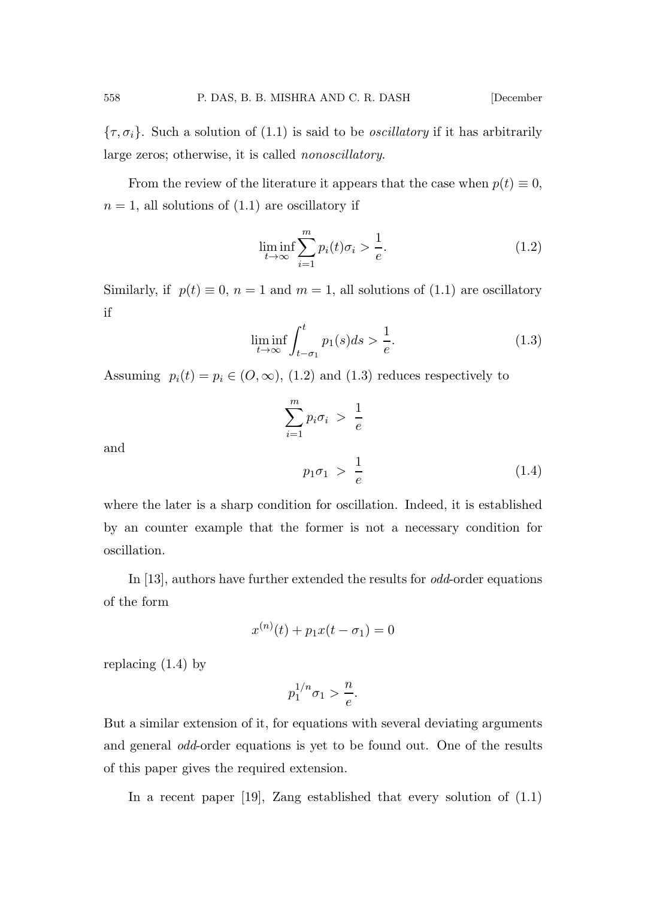${\lbrace \tau, \sigma_i \rbrace}$ . Such a solution of (1.1) is said to be *oscillatory* if it has arbitrarily large zeros; otherwise, it is called nonoscillatory.

From the review of the literature it appears that the case when  $p(t) \equiv 0$ ,  $n = 1$ , all solutions of  $(1.1)$  are oscillatory if

$$
\liminf_{t \to \infty} \sum_{i=1}^{m} p_i(t)\sigma_i > \frac{1}{e}.\tag{1.2}
$$

Similarly, if  $p(t) \equiv 0$ ,  $n = 1$  and  $m = 1$ , all solutions of (1.1) are oscillatory if

$$
\liminf_{t \to \infty} \int_{t-\sigma_1}^t p_1(s)ds > \frac{1}{e}.\tag{1.3}
$$

Assuming  $p_i(t) = p_i \in (O, \infty)$ , (1.2) and (1.3) reduces respectively to

$$
\sum_{i=1}^{m} p_i \sigma_i > \frac{1}{e}
$$
\n
$$
p_1 \sigma_1 > \frac{1}{e}
$$
\n(1.4)

and

where the later is a sharp condition for oscillation. Indeed, it is established by an counter example that the former is not a necessary condition for oscillation.

In [13], authors have further extended the results for *odd*-order equations of the form

$$
x^{(n)}(t) + p_1 x(t - \sigma_1) = 0
$$

replacing (1.4) by

$$
p_1^{1/n} \sigma_1 > \frac{n}{e}.
$$

But a similar extension of it, for equations with several deviating arguments and general odd-order equations is yet to be found out. One of the results of this paper gives the required extension.

In a recent paper [19], Zang established that every solution of (1.1)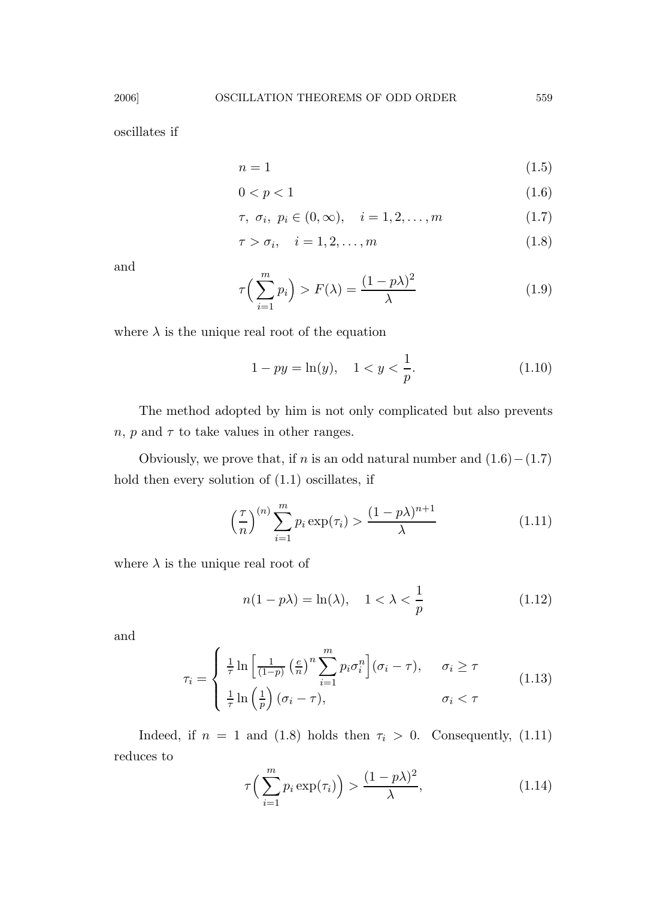oscillates if

$$
n = 1 \tag{1.5}
$$

$$
0 < p < 1 \tag{1.6}
$$

$$
\tau, \sigma_i, p_i \in (0, \infty), \quad i = 1, 2, \dots, m \tag{1.7}
$$

$$
\tau > \sigma_i, \quad i = 1, 2, \dots, m \tag{1.8}
$$

and

$$
\tau\left(\sum_{i=1}^{m} p_i\right) > F(\lambda) = \frac{(1 - p\lambda)^2}{\lambda} \tag{1.9}
$$

where  $\lambda$  is the unique real root of the equation

$$
1 - py = \ln(y), \quad 1 < y < \frac{1}{p}.\tag{1.10}
$$

The method adopted by him is not only complicated but also prevents  $n, p$  and  $\tau$  to take values in other ranges.

Obviously, we prove that, if n is an odd natural number and  $(1.6) - (1.7)$ hold then every solution of (1.1) oscillates, if

$$
\left(\frac{\tau}{n}\right)^{(n)}\sum_{i=1}^{m}p_i\exp(\tau_i) > \frac{(1-p\lambda)^{n+1}}{\lambda} \tag{1.11}
$$

where  $\lambda$  is the unique real root of

$$
n(1 - p\lambda) = \ln(\lambda), \quad 1 < \lambda < \frac{1}{p} \tag{1.12}
$$

and

$$
\tau_i = \begin{cases} \frac{1}{\tau} \ln \left[ \frac{1}{(1-p)} \left( \frac{e}{n} \right)^n \sum_{i=1}^m p_i \sigma_i^n \right] (\sigma_i - \tau), & \sigma_i \ge \tau \\ \frac{1}{\tau} \ln \left( \frac{1}{p} \right) (\sigma_i - \tau), & \sigma_i < \tau \end{cases}
$$
(1.13)

Indeed, if  $n = 1$  and (1.8) holds then  $\tau_i > 0$ . Consequently, (1.11) reduces to

$$
\tau\left(\sum_{i=1}^{m} p_i \exp(\tau_i)\right) > \frac{(1 - p\lambda)^2}{\lambda},\tag{1.14}
$$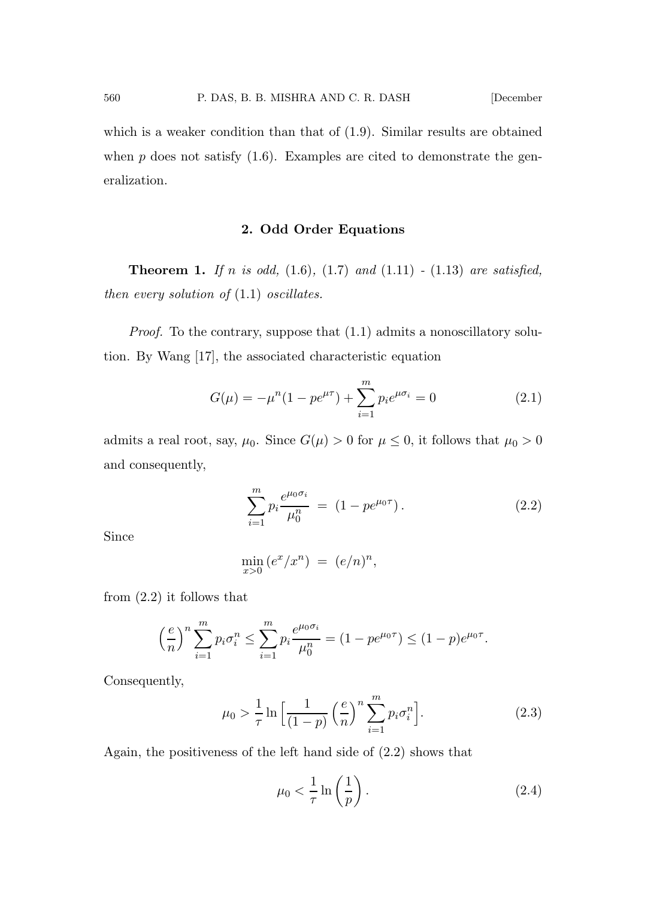which is a weaker condition than that of (1.9). Similar results are obtained when  $p$  does not satisfy  $(1.6)$ . Examples are cited to demonstrate the generalization.

# 2. Odd Order Equations

**Theorem 1.** If n is odd,  $(1.6)$ ,  $(1.7)$  and  $(1.11)$  -  $(1.13)$  are satisfied, then every solution of  $(1.1)$  oscillates.

Proof. To the contrary, suppose that  $(1.1)$  admits a nonoscillatory solution. By Wang [17], the associated characteristic equation

$$
G(\mu) = -\mu^{n}(1 - pe^{\mu\tau}) + \sum_{i=1}^{m} p_i e^{\mu\sigma_i} = 0
$$
 (2.1)

admits a real root, say,  $\mu_0$ . Since  $G(\mu) > 0$  for  $\mu \leq 0$ , it follows that  $\mu_0 > 0$ and consequently,

$$
\sum_{i=1}^{m} p_i \frac{e^{\mu_0 \sigma_i}}{\mu_0^n} = (1 - pe^{\mu_0 \tau}). \tag{2.2}
$$

Since

$$
\min_{x>0} (e^x/x^n) = (e/n)^n,
$$

from (2.2) it follows that

$$
\left(\frac{e}{n}\right)^n \sum_{i=1}^m p_i \sigma_i^n \le \sum_{i=1}^m p_i \frac{e^{\mu_0 \sigma_i}}{\mu_0^n} = (1 - pe^{\mu_0 \tau}) \le (1 - p)e^{\mu_0 \tau}.
$$

Consequently,

$$
\mu_0 > \frac{1}{\tau} \ln \left[ \frac{1}{(1-p)} \left( \frac{e}{n} \right)^n \sum_{i=1}^m p_i \sigma_i^n \right].
$$
 (2.3)

Again, the positiveness of the left hand side of (2.2) shows that

$$
\mu_0 < \frac{1}{\tau} \ln\left(\frac{1}{p}\right). \tag{2.4}
$$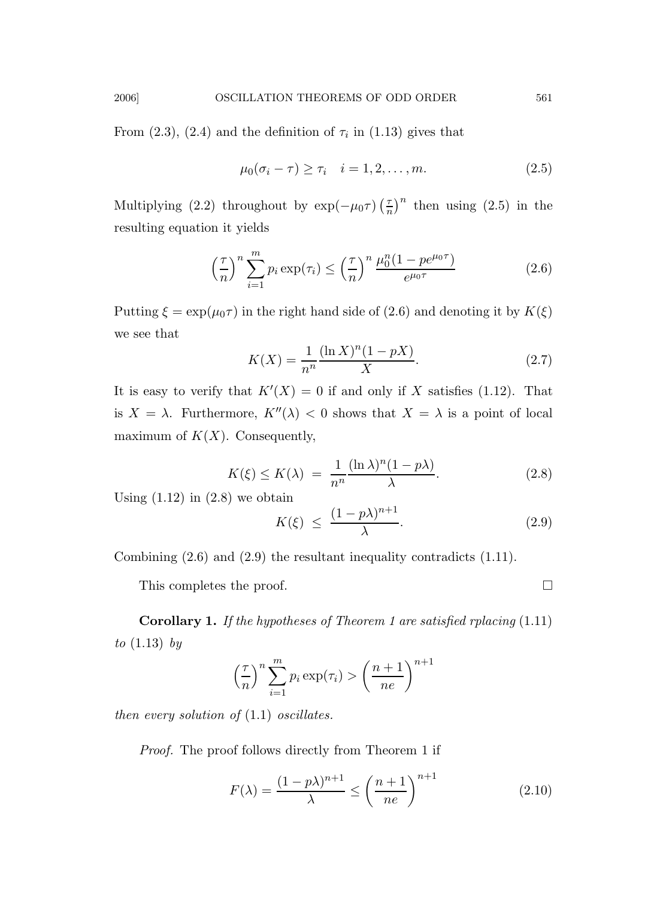From  $(2.3)$ ,  $(2.4)$  and the definition of  $\tau_i$  in  $(1.13)$  gives that

$$
\mu_0(\sigma_i - \tau) \ge \tau_i \quad i = 1, 2, \dots, m. \tag{2.5}
$$

Multiplying (2.2) throughout by  $\exp(-\mu_0\tau)$   $\left(\frac{\tau}{n}\right)$  $\left(\frac{\tau}{n}\right)^n$  then using (2.5) in the resulting equation it yields

$$
\left(\frac{\tau}{n}\right)^n \sum_{i=1}^m p_i \exp(\tau_i) \le \left(\frac{\tau}{n}\right)^n \frac{\mu_0^n (1 - p e^{\mu_0 \tau})}{e^{\mu_0 \tau}} \tag{2.6}
$$

Putting  $\xi = \exp(\mu_0 \tau)$  in the right hand side of (2.6) and denoting it by  $K(\xi)$ we see that

$$
K(X) = \frac{1}{n^n} \frac{(\ln X)^n (1 - pX)}{X}.
$$
 (2.7)

It is easy to verify that  $K'(X) = 0$  if and only if X satisfies (1.12). That is  $X = \lambda$ . Furthermore,  $K''(\lambda) < 0$  shows that  $X = \lambda$  is a point of local maximum of  $K(X)$ . Consequently,

$$
K(\xi) \le K(\lambda) = \frac{1}{n^n} \frac{(\ln \lambda)^n (1 - p\lambda)}{\lambda}.
$$
 (2.8)

n+1<sub>1</sub>

Using  $(1.12)$  in  $(2.8)$  we obtain

$$
K(\xi) \le \frac{(1 - p\lambda)^{n+1}}{\lambda}.\tag{2.9}
$$

Combining (2.6) and (2.9) the resultant inequality contradicts (1.11).

This completes the proof.

Corollary 1. If the hypotheses of Theorem 1 are satisfied rplacing (1.11) to  $(1.13)$  by

$$
\left(\frac{\tau}{n}\right)^n \sum_{i=1}^m p_i \exp(\tau_i) > \left(\frac{n+1}{ne}\right)^{n+1}
$$

then every solution of  $(1.1)$  oscillates.

Proof. The proof follows directly from Theorem 1 if

$$
F(\lambda) = \frac{(1 - p\lambda)^{n+1}}{\lambda} \le \left(\frac{n+1}{ne}\right)^{n+1}
$$
 (2.10)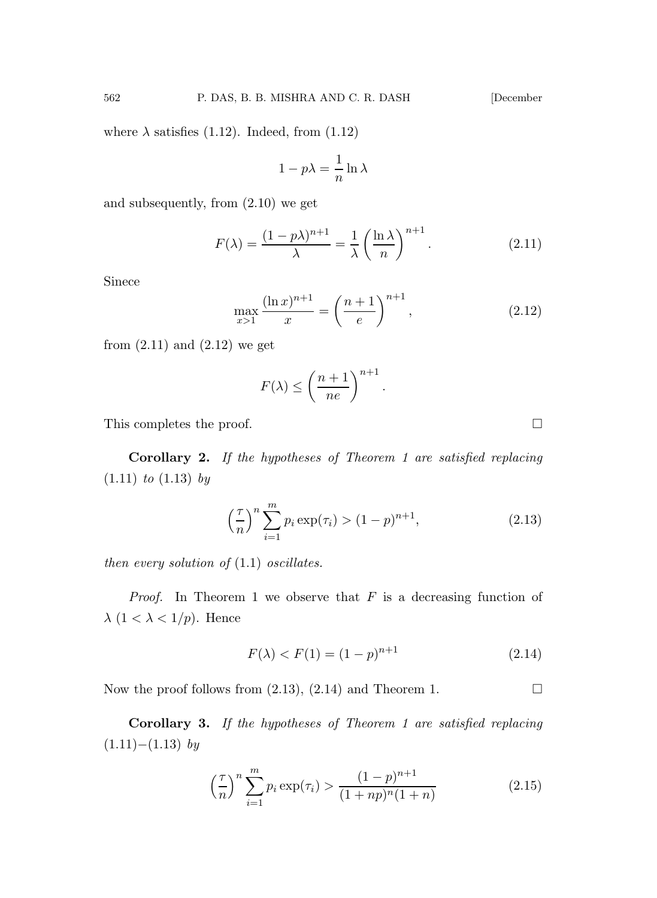where  $\lambda$  satisfies (1.12). Indeed, from (1.12)

$$
1 - p\lambda = \frac{1}{n}\ln\lambda
$$

and subsequently, from (2.10) we get

$$
F(\lambda) = \frac{(1 - p\lambda)^{n+1}}{\lambda} = \frac{1}{\lambda} \left(\frac{\ln \lambda}{n}\right)^{n+1}.
$$
 (2.11)

Sinece

$$
\max_{x>1} \frac{(\ln x)^{n+1}}{x} = \left(\frac{n+1}{e}\right)^{n+1},\tag{2.12}
$$

from  $(2.11)$  and  $(2.12)$  we get

$$
F(\lambda) \le \left(\frac{n+1}{ne}\right)^{n+1}.
$$

This completes the proof.

Corollary 2. If the hypotheses of Theorem 1 are satisfied replacing  $(1.11)$  to  $(1.13)$  by

$$
\left(\frac{\tau}{n}\right)^n \sum_{i=1}^m p_i \exp(\tau_i) > (1-p)^{n+1},\tag{2.13}
$$

then every solution of  $(1.1)$  oscillates.

*Proof.* In Theorem 1 we observe that  $F$  is a decreasing function of  $\lambda$  (1 <  $\lambda$  < 1/p). Hence

$$
F(\lambda) < F(1) = (1 - p)^{n+1} \tag{2.14}
$$

Now the proof follows from  $(2.13)$ ,  $(2.14)$  and Theorem 1.

Corollary 3. If the hypotheses of Theorem 1 are satisfied replacing  $(1.11)–(1.13)$  by

$$
\left(\frac{\tau}{n}\right)^n \sum_{i=1}^m p_i \exp(\tau_i) > \frac{(1-p)^{n+1}}{(1+np)^n (1+n)}\tag{2.15}
$$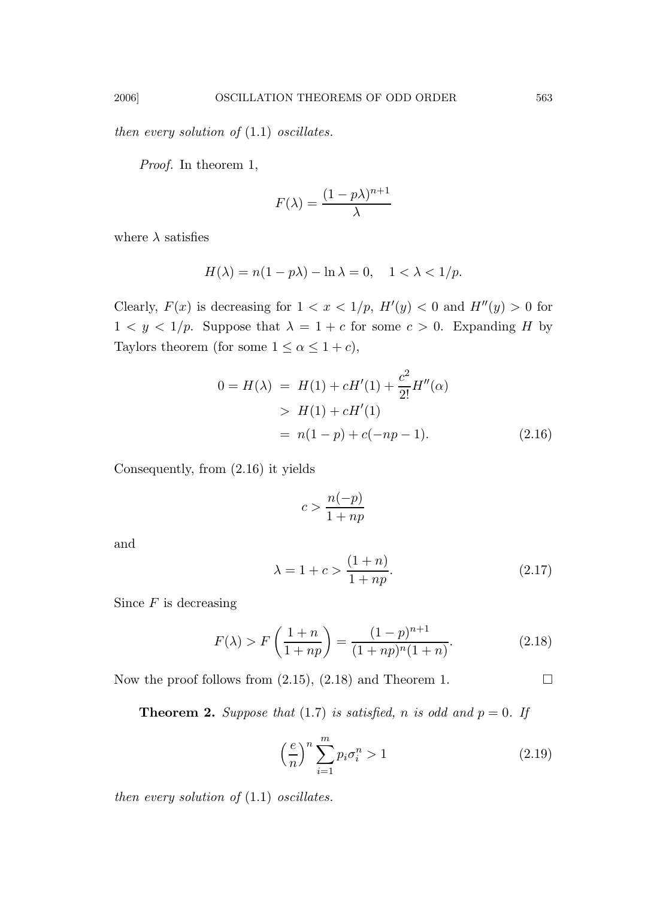then every solution of  $(1.1)$  oscillates.

Proof. In theorem 1,

$$
F(\lambda) = \frac{(1 - p\lambda)^{n+1}}{\lambda}
$$

where  $\lambda$  satisfies

$$
H(\lambda) = n(1 - p\lambda) - \ln \lambda = 0, \quad 1 < \lambda < 1/p.
$$

Clearly,  $F(x)$  is decreasing for  $1 < x < 1/p$ ,  $H'(y) < 0$  and  $H''(y) > 0$  for  $1 < y < 1/p$ . Suppose that  $\lambda = 1 + c$  for some  $c > 0$ . Expanding H by Taylors theorem (for some  $1 \le \alpha \le 1 + c$ ),

$$
0 = H(\lambda) = H(1) + cH'(1) + \frac{c^2}{2!}H''(\alpha)
$$
  
> H(1) + cH'(1)  
= n(1-p) + c(-np - 1). (2.16)

Consequently, from (2.16) it yields

$$
c>\frac{n(-p)}{1+np}
$$

and

$$
\lambda = 1 + c > \frac{(1+n)}{1+np}.\tag{2.17}
$$

Since  $F$  is decreasing

$$
F(\lambda) > F\left(\frac{1+n}{1+np}\right) = \frac{(1-p)^{n+1}}{(1+np)^n(1+n)}.\tag{2.18}
$$

Now the proof follows from  $(2.15)$ ,  $(2.18)$  and Theorem 1.

**Theorem 2.** Suppose that (1.7) is satisfied, n is odd and  $p = 0$ . If

$$
\left(\frac{e}{n}\right)^n \sum_{i=1}^m p_i \sigma_i^n > 1\tag{2.19}
$$

then every solution of  $(1.1)$  oscillates.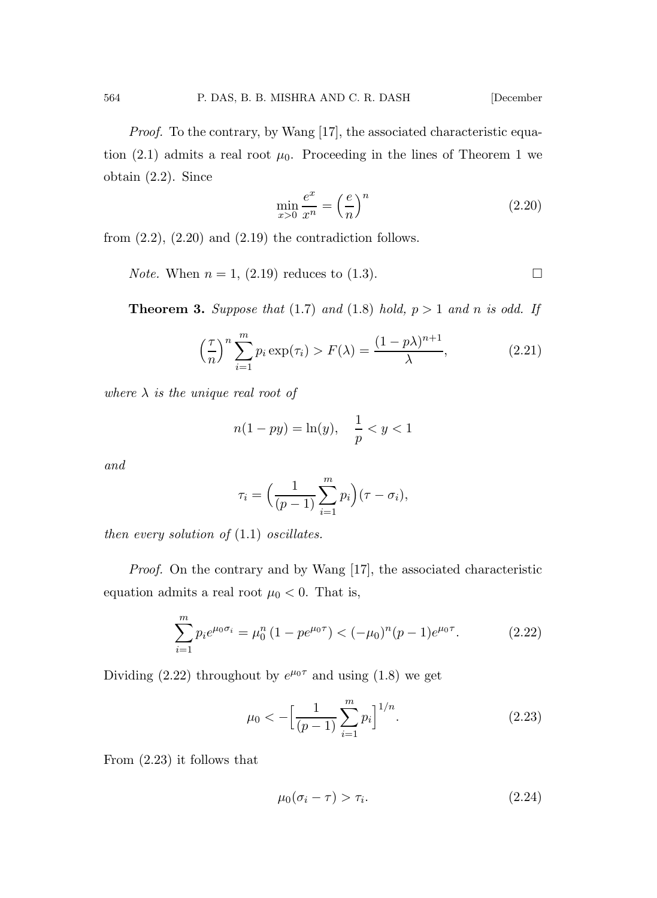Proof. To the contrary, by Wang [17], the associated characteristic equation (2.1) admits a real root  $\mu_0$ . Proceeding in the lines of Theorem 1 we obtain (2.2). Since

$$
\min_{x>0} \frac{e^x}{x^n} = \left(\frac{e}{n}\right)^n \tag{2.20}
$$

from  $(2.2)$ ,  $(2.20)$  and  $(2.19)$  the contradiction follows.

*Note.* When  $n = 1$ , (2.19) reduces to (1.3).

**Theorem 3.** Suppose that (1.7) and (1.8) hold,  $p > 1$  and n is odd. If

$$
\left(\frac{\tau}{n}\right)^n \sum_{i=1}^m p_i \exp(\tau_i) > F(\lambda) = \frac{(1 - p\lambda)^{n+1}}{\lambda},\tag{2.21}
$$

where  $\lambda$  is the unique real root of

$$
n(1 - py) = \ln(y), \quad \frac{1}{p} < y < 1
$$

and

$$
\tau_i = \left(\frac{1}{(p-1)}\sum_{i=1}^m p_i\right)(\tau - \sigma_i),
$$

then every solution of  $(1.1)$  oscillates.

Proof. On the contrary and by Wang [17], the associated characteristic equation admits a real root  $\mu_0 < 0$ . That is,

$$
\sum_{i=1}^{m} p_i e^{\mu_0 \sigma_i} = \mu_0^n (1 - p e^{\mu_0 \tau}) < (-\mu_0)^n (p - 1) e^{\mu_0 \tau}.
$$
 (2.22)

Dividing (2.22) throughout by  $e^{\mu_0 \tau}$  and using (1.8) we get

$$
\mu_0 < -\left[\frac{1}{(p-1)}\sum_{i=1}^m p_i\right]^{1/n}.\tag{2.23}
$$

From (2.23) it follows that

$$
\mu_0(\sigma_i - \tau) > \tau_i. \tag{2.24}
$$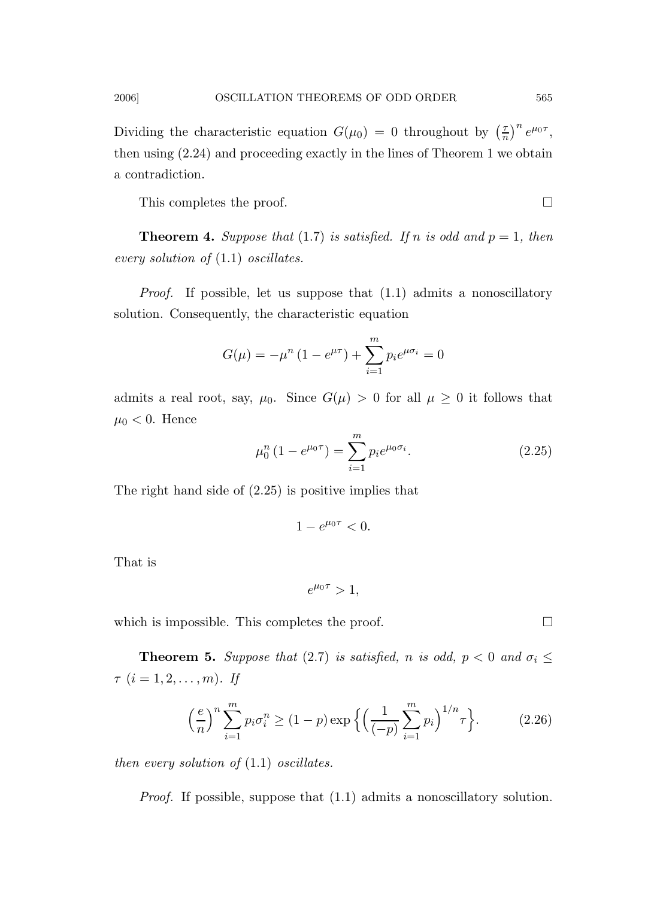Dividing the characteristic equation  $G(\mu_0) = 0$  throughout by  $\left(\frac{7}{n}\right)$  $(\frac{\tau}{n})^n e^{\mu_0 \tau},$ then using (2.24) and proceeding exactly in the lines of Theorem 1 we obtain a contradiction.

This completes the proof.

**Theorem 4.** Suppose that (1.7) is satisfied. If n is odd and  $p = 1$ , then every solution of (1.1) oscillates.

Proof. If possible, let us suppose that (1.1) admits a nonoscillatory solution. Consequently, the characteristic equation

$$
G(\mu) = -\mu^{n} (1 - e^{\mu \tau}) + \sum_{i=1}^{m} p_{i} e^{\mu \sigma_{i}} = 0
$$

admits a real root, say,  $\mu_0$ . Since  $G(\mu) > 0$  for all  $\mu \geq 0$  it follows that  $\mu_0 < 0$ . Hence

$$
\mu_0^n (1 - e^{\mu_0 \tau}) = \sum_{i=1}^m p_i e^{\mu_0 \sigma_i}.
$$
 (2.25)

The right hand side of (2.25) is positive implies that

$$
1-e^{\mu_0\tau}<0.
$$

That is

$$
e^{\mu_0 \tau} > 1,
$$

which is impossible. This completes the proof.  $\Box$ 

**Theorem 5.** Suppose that (2.7) is satisfied, n is odd,  $p < 0$  and  $\sigma_i \leq$  $\tau$   $(i = 1, 2, \ldots, m)$ . If

$$
\left(\frac{e}{n}\right)^n \sum_{i=1}^m p_i \sigma_i^n \ge (1-p) \exp\left\{ \left(\frac{1}{(-p)} \sum_{i=1}^m p_i\right)^{1/n} \tau \right\}.
$$
 (2.26)

then every solution of  $(1.1)$  oscillates.

Proof. If possible, suppose that (1.1) admits a nonoscillatory solution.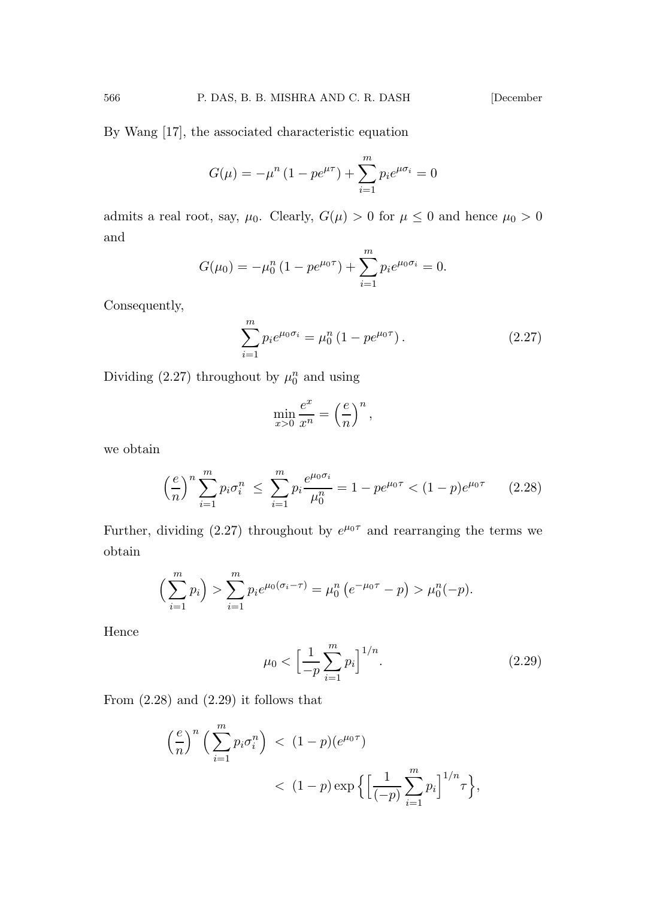By Wang [17], the associated characteristic equation

$$
G(\mu) = -\mu^{n} (1 - pe^{\mu \tau}) + \sum_{i=1}^{m} p_{i} e^{\mu \sigma_{i}} = 0
$$

admits a real root, say,  $\mu_0$ . Clearly,  $G(\mu) > 0$  for  $\mu \le 0$  and hence  $\mu_0 > 0$ and

$$
G(\mu_0) = -\mu_0^n (1 - p e^{\mu_0 \tau}) + \sum_{i=1}^m p_i e^{\mu_0 \sigma_i} = 0.
$$

Consequently,

$$
\sum_{i=1}^{m} p_i e^{\mu_0 \sigma_i} = \mu_0^n (1 - p e^{\mu_0 \tau}). \tag{2.27}
$$

Dividing (2.27) throughout by  $\mu_0^n$  and using

$$
\min_{x>0} \frac{e^x}{x^n} = \left(\frac{e}{n}\right)^n,
$$

we obtain

$$
\left(\frac{e}{n}\right)^n \sum_{i=1}^m p_i \sigma_i^n \le \sum_{i=1}^m p_i \frac{e^{\mu_0 \sigma_i}}{\mu_0^n} = 1 - pe^{\mu_0 \tau} < (1 - p)e^{\mu_0 \tau} \tag{2.28}
$$

Further, dividing (2.27) throughout by  $e^{\mu_0 \tau}$  and rearranging the terms we obtain

$$
\left(\sum_{i=1}^m p_i\right) > \sum_{i=1}^m p_i e^{\mu_0(\sigma_i - \tau)} = \mu_0^n \left(e^{-\mu_0 \tau} - p\right) > \mu_0^n(-p).
$$

Hence

$$
\mu_0 < \left[\frac{1}{-p} \sum_{i=1}^m p_i\right]^{1/n}.\tag{2.29}
$$

From  $(2.28)$  and  $(2.29)$  it follows that

$$
\left(\frac{e}{n}\right)^n \left(\sum_{i=1}^m p_i \sigma_i^n\right) < (1-p)(e^{\mu_0 \tau}) \\
&< (1-p) \exp\left\{\left[\frac{1}{(-p)} \sum_{i=1}^m p_i\right]^{1/n} \tau\right\},
$$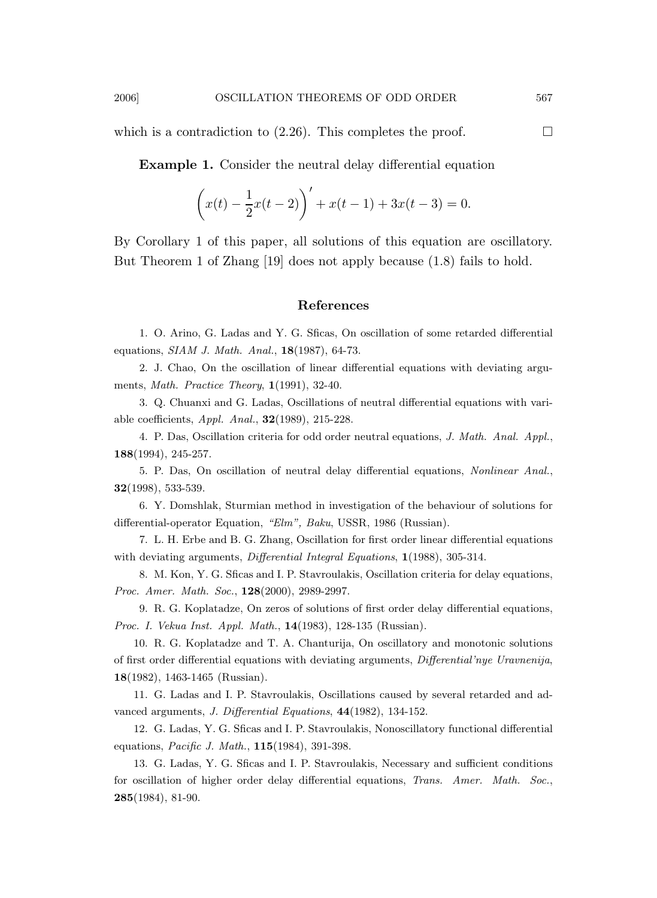which is a contradiction to (2.26). This completes the proof.  $\Box$ 

Example 1. Consider the neutral delay differential equation

$$
\left(x(t) - \frac{1}{2}x(t-2)\right)' + x(t-1) + 3x(t-3) = 0.
$$

By Corollary 1 of this paper, all solutions of this equation are oscillatory. But Theorem 1 of Zhang [19] does not apply because (1.8) fails to hold.

### References

1. O. Arino, G. Ladas and Y. G. Sficas, On oscillation of some retarded differential equations, SIAM J. Math. Anal., 18(1987), 64-73.

2. J. Chao, On the oscillation of linear differential equations with deviating arguments, Math. Practice Theory, 1(1991), 32-40.

3. Q. Chuanxi and G. Ladas, Oscillations of neutral differential equations with variable coefficients,  $Appl.$  Anal.,  $32(1989)$ ,  $215-228$ .

4. P. Das, Oscillation criteria for odd order neutral equations, J. Math. Anal. Appl., 188(1994), 245-257.

5. P. Das, On oscillation of neutral delay differential equations, Nonlinear Anal., 32(1998), 533-539.

6. Y. Domshlak, Sturmian method in investigation of the behaviour of solutions for differential-operator Equation, "Elm", Baku, USSR, 1986 (Russian).

7. L. H. Erbe and B. G. Zhang, Oscillation for first order linear differential equations with deviating arguments, Differential Integral Equations, 1(1988), 305-314.

8. M. Kon, Y. G. Sficas and I. P. Stavroulakis, Oscillation criteria for delay equations, Proc. Amer. Math. Soc., 128(2000), 2989-2997.

9. R. G. Koplatadze, On zeros of solutions of first order delay differential equations, Proc. I. Vekua Inst. Appl. Math., 14(1983), 128-135 (Russian).

10. R. G. Koplatadze and T. A. Chanturija, On oscillatory and monotonic solutions of first order differential equations with deviating arguments, Differential'nye Uravnenija, 18(1982), 1463-1465 (Russian).

11. G. Ladas and I. P. Stavroulakis, Oscillations caused by several retarded and advanced arguments, J. Differential Equations, 44(1982), 134-152.

12. G. Ladas, Y. G. Sficas and I. P. Stavroulakis, Nonoscillatory functional differential equations, Pacific J. Math., 115(1984), 391-398.

13. G. Ladas, Y. G. Sficas and I. P. Stavroulakis, Necessary and sufficient conditions for oscillation of higher order delay differential equations, Trans. Amer. Math. Soc., 285(1984), 81-90.